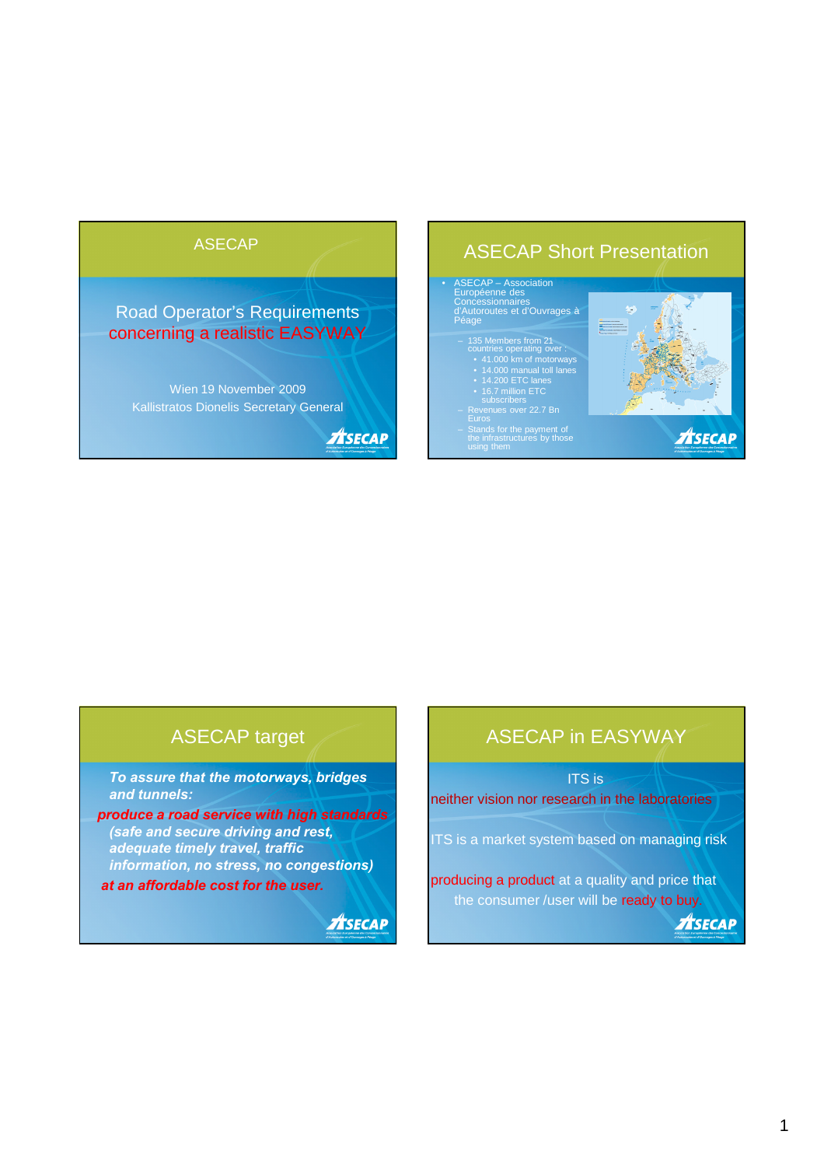Road Operator's Requirements concerning a realistic EASYWAY

Wien 19 November 2009 Kallistratos Dionelis Secretary General

**ASECAP** 

# ASECAP ASECAP ASECAP Short Presentation

# • ASECAP – Association Européenne des Concessionnaires d'Autoroutes et d'Ouvrages à Péage

- 135 Members from 21 countries operating over : 41.000 km of motorways 14.000 manual toll lanes 14.200 ETC lanes 16.7 million ETC subscribers Revenues over 22.7 Bn Euros
- 
- 

– Stands for the payment of the infrastructures by those



### ASECAP target

*To assure that the motorways, bridges and tunnels:*

*produce a road service with high standards (safe and secure driving and rest, adequate timely travel, traffic information, no stress, no congestions) at an affordable cost for the user.*

**ASECAP** 

## ASECAP in EASYWAY

ITS is neither vision nor research in the laboratories

ITS is a market system based on managing risk

producing a product at a quality and price that the consumer /user will be ready to buy.

**ASECAP**